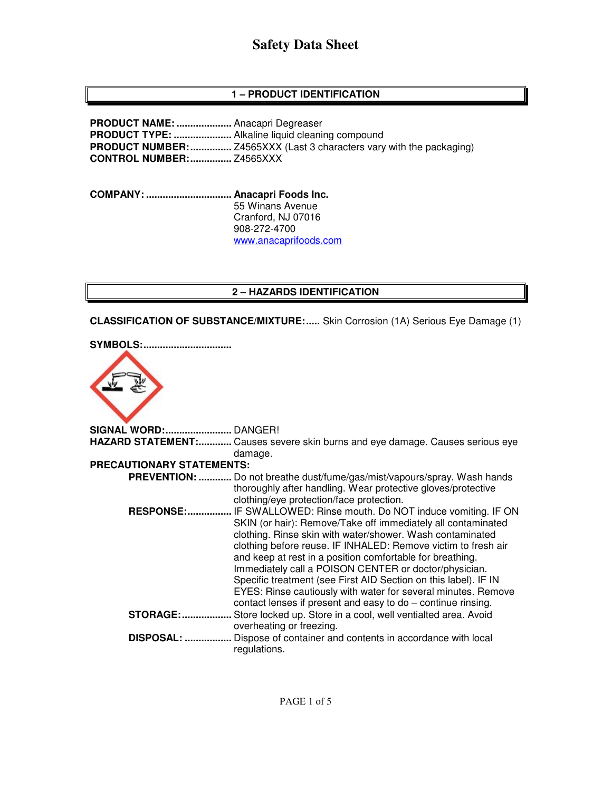# **Safety Data Sheet**

## **1 – PRODUCT IDENTIFICATION**

**PRODUCT NAME: ....................** Anacapri Degreaser **PRODUCT TYPE: .....................** Alkaline liquid cleaning compound **PRODUCT NUMBER: ...............** Z4565XXX (Last 3 characters vary with the packaging) **CONTROL NUMBER: ...............** Z4565XXX

**COMPANY: ............................... Anacapri Foods Inc.**  55 Winans Avenue Cranford, NJ 07016 908-272-4700 www.anacaprifoods.com

## **2 – HAZARDS IDENTIFICATION**

**CLASSIFICATION OF SUBSTANCE/MIXTURE: .....** Skin Corrosion (1A) Serious Eye Damage (1)

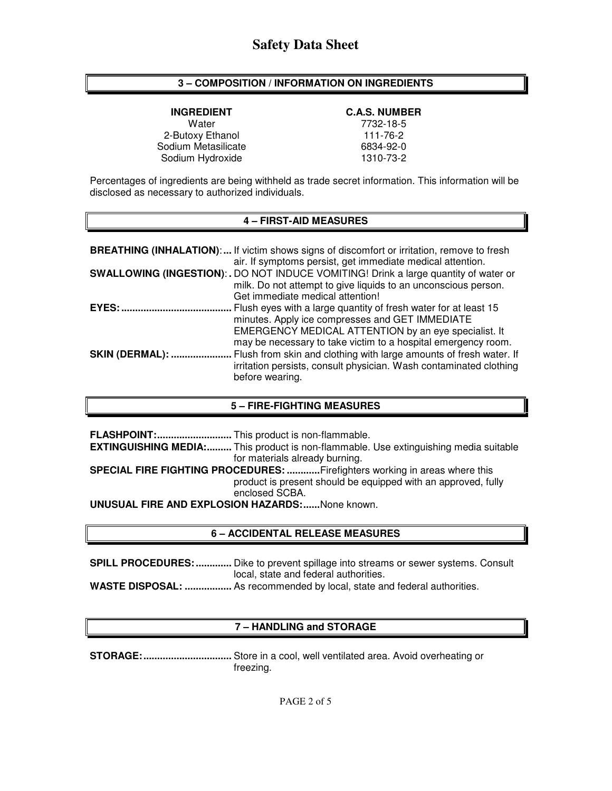### **3 – COMPOSITION / INFORMATION ON INGREDIENTS**

**INGREDIENT C.A.S. NUMBER** 

Water 7732-18-5 2-Butoxy Ethanol 111-76-2<br>111-76-2 6834-92-0 Sodium Metasilicate Sodium Hydroxide 1310-73-2

Percentages of ingredients are being withheld as trade secret information. This information will be disclosed as necessary to authorized individuals.

#### **4 – FIRST-AID MEASURES**

|                        | <b>BREATHING (INHALATION):</b> If victim shows signs of discomfort or irritation, remove to fresh<br>air. If symptoms persist, get immediate medical attention.                                                                             |
|------------------------|---------------------------------------------------------------------------------------------------------------------------------------------------------------------------------------------------------------------------------------------|
|                        | SWALLOWING (INGESTION): . DO NOT INDUCE VOMITING! Drink a large quantity of water or<br>milk. Do not attempt to give liquids to an unconscious person.<br>Get immediate medical attention!                                                  |
| EYES:                  | Flush eyes with a large quantity of fresh water for at least 15<br>minutes. Apply ice compresses and GET IMMEDIATE<br>EMERGENCY MEDICAL ATTENTION by an eye specialist. It<br>may be necessary to take victim to a hospital emergency room. |
| <b>SKIN (DERMAL): </b> | Flush from skin and clothing with large amounts of fresh water. If<br>irritation persists, consult physician. Wash contaminated clothing<br>before wearing.                                                                                 |

#### **5 – FIRE-FIGHTING MEASURES**

|                                                        | <b>EXTINGUISHING MEDIA:</b> This product is non-flammable. Use extinguishing media suitable |  |
|--------------------------------------------------------|---------------------------------------------------------------------------------------------|--|
|                                                        | for materials already burning.                                                              |  |
|                                                        | SPECIAL FIRE FIGHTING PROCEDURES: Firefighters working in areas where this                  |  |
|                                                        | product is present should be equipped with an approved, fully                               |  |
|                                                        | enclosed SCBA.                                                                              |  |
| <b>UNUSUAL FIRE AND EXPLOSION HAZARDS:</b> None known. |                                                                                             |  |

#### **6 – ACCIDENTAL RELEASE MEASURES**

**SPILL PROCEDURES: .............** Dike to prevent spillage into streams or sewer systems. Consult local, state and federal authorities. **WASTE DISPOSAL: .................** As recommended by local, state and federal authorities.

#### **7 – HANDLING and STORAGE**

**STORAGE: ................................** Store in a cool, well ventilated area. Avoid overheating or freezing.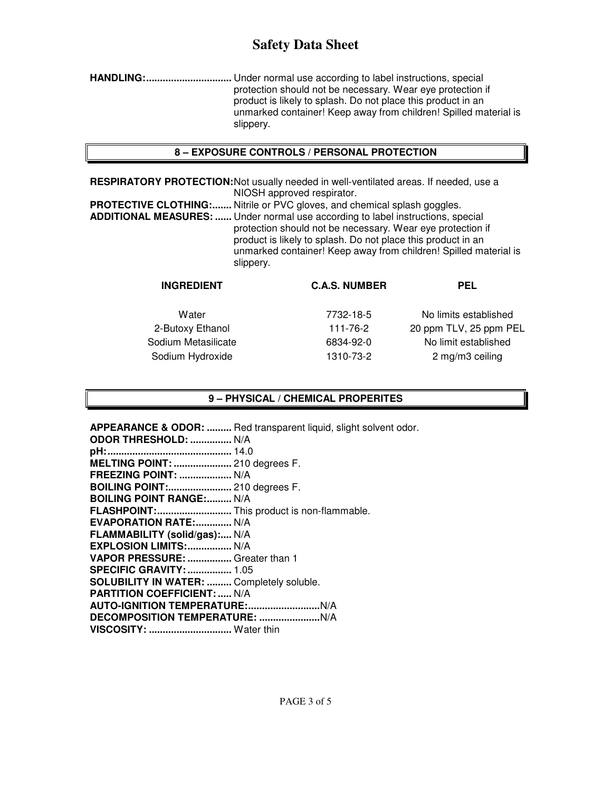## **Safety Data Sheet**

**HANDLING: ...............................** Under normal use according to label instructions, special protection should not be necessary. Wear eye protection if product is likely to splash. Do not place this product in an unmarked container! Keep away from children! Spilled material is slippery.

### **8 – EXPOSURE CONTROLS / PERSONAL PROTECTION**

**RESPIRATORY PROTECTION:** Not usually needed in well-ventilated areas. If needed, use a NIOSH approved respirator.

**PROTECTIVE CLOTHING:.......** Nitrile or PVC gloves, and chemical splash goggles. **ADDITIONAL MEASURES: ......** Under normal use according to label instructions, special protection should not be necessary. Wear eye protection if product is likely to splash. Do not place this product in an unmarked container! Keep away from children! Spilled material is slippery.

| PEL                    |
|------------------------|
| No limits established  |
| 20 ppm TLV, 25 ppm PEL |
| No limit established   |
| 2 mg/m3 ceiling        |
|                        |
|                        |

### **9 – PHYSICAL / CHEMICAL PROPERITES**

**APPEARANCE & ODOR: .........** Red transparent liquid, slight solvent odor. **ODOR THRESHOLD: ...............** N/A **pH: .............................................** 14.0 **MELTING POINT: .....................** 210 degrees F. **FREEZING POINT: ...................** N/A **BOILING POINT:.......................** 210 degrees F. **BOILING POINT RANGE:......... N/A FLASHPOINT: ...........................** This product is non-flammable. **EVAPORATION RATE:.............. N/A FLAMMABILITY (solid/gas):....** N/A **EXPLOSION LIMITS: ................** N/A **VAPOR PRESSURE: ................** Greater than 1 **SPECIFIC GRAVITY: ................** 1.05 **SOLUBILITY IN WATER: .........** Completely soluble. **PARTITION COEFFICIENT: .....** N/A **AUTO-IGNITION TEMPERATURE: ..........................** N/A **DECOMPOSITION TEMPERATURE: ......................** N/A **VISCOSITY: ..............................** Water thin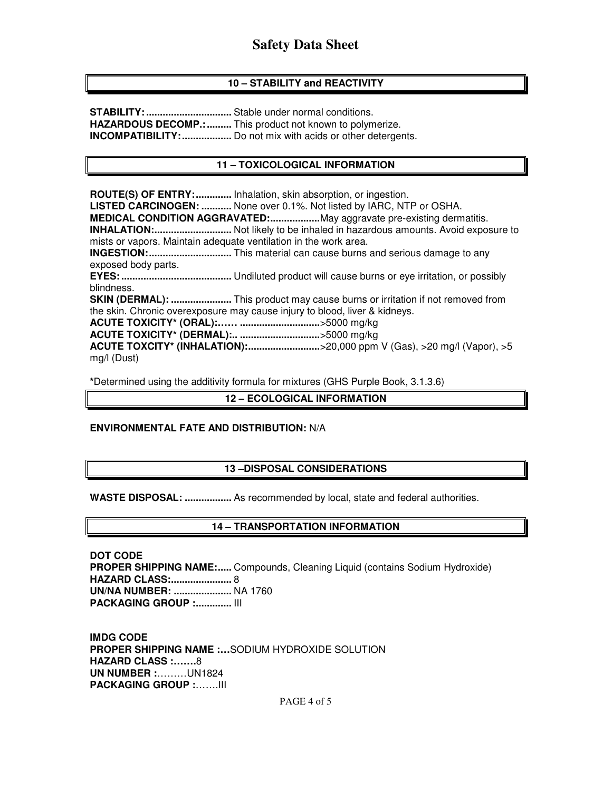## **10 – STABILITY and REACTIVITY**

**STABILITY: ...............................** Stable under normal conditions. **HAZARDOUS DECOMP.: .........** This product not known to polymerize. **INCOMPATIBILITY: ..................** Do not mix with acids or other detergents.

## **11 – TOXICOLOGICAL INFORMATION**

**ROUTE(S) OF ENTRY: .............** Inhalation, skin absorption, or ingestion. **LISTED CARCINOGEN: ...........** None over 0.1%. Not listed by IARC, NTP or OSHA. **MEDICAL CONDITION AGGRAVATED: ..................** May aggravate pre-existing dermatitis. **INHALATION: ............................** Not likely to be inhaled in hazardous amounts. Avoid exposure to mists or vapors. Maintain adequate ventilation in the work area. **INGESTION: ..............................** This material can cause burns and serious damage to any exposed body parts. **EYES: ........................................** Undiluted product will cause burns or eye irritation, or possibly blindness. **SKIN (DERMAL): ......................** This product may cause burns or irritation if not removed from the skin. Chronic overexposure may cause injury to blood, liver & kidneys. **ACUTE TOXICITY\* (ORAL):…… .............................** >5000 mg/kg **ACUTE TOXICITY\* (DERMAL):.. .............................** >5000 mg/kg **ACUTE TOXCITY\* (INHALATION):...............................>20,000 ppm V (Gas), >20 mg/l (Vapor), >5** mg/l (Dust)

**\***Determined using the additivity formula for mixtures (GHS Purple Book, 3.1.3.6)

### **12 – ECOLOGICAL INFORMATION**

#### **ENVIRONMENTAL FATE AND DISTRIBUTION:** N/A

#### **13 –DISPOSAL CONSIDERATIONS**

**WASTE DISPOSAL: .................** As recommended by local, state and federal authorities.

#### **14 – TRANSPORTATION INFORMATION**

**DOT CODE PROPER SHIPPING NAME:.....** Compounds, Cleaning Liquid (contains Sodium Hydroxide) **HAZARD CLASS: ......................** 8 **UN/NA NUMBER: .....................** NA 1760 **PACKAGING GROUP :.............. III** 

**IMDG CODE PROPER SHIPPING NAME :…**SODIUM HYDROXIDE SOLUTION **HAZARD CLASS :…….**8 **UN NUMBER :**………UN1824 **PACKAGING GROUP :**…….III